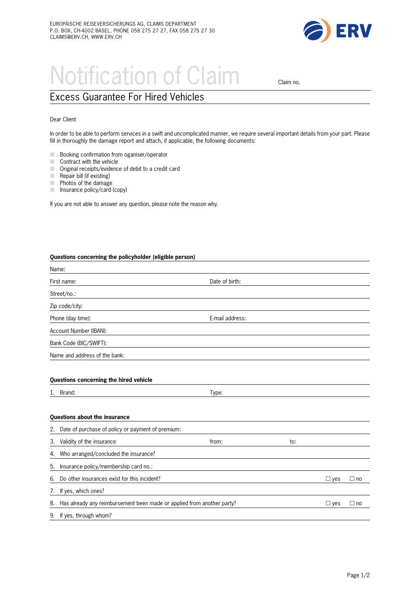

## Notification of Claim claim no.

## Excess Guarantee For Hired Vehicles

## Dear Client

In order to be able to perform services in a swift and uncomplicated manner, we require several important details from your part. Please fill in thoroughly the damage report and attach, if applicable, the following documents:

- **M Booking confirmation from oganiser/operator**
- $\Box$  Contract with the vehicle
- $\Box$  Original receipts/evidence of debit to a credit card
- $\blacksquare$  Repair bill (if existing)
- $\blacksquare$  Photos of the damage
- $\blacksquare$  Insurance policy/card (copy)

If you are not able to answer any question, please note the reason why.

## **Questions concerning the policyholder (eligible person)**

4. Who arranged/concluded the insurance?

| Date of birth:  |  |  |
|-----------------|--|--|
|                 |  |  |
|                 |  |  |
| E-mail address: |  |  |
|                 |  |  |
|                 |  |  |
|                 |  |  |
|                 |  |  |
| Type:           |  |  |
|                 |  |  |
|                 |  |  |
| from:<br>to:    |  |  |
|                 |  |  |

| 5. Insurance policy/membership card no.:                                  |            |           |
|---------------------------------------------------------------------------|------------|-----------|
| 6. Do other insurances exist for this incident?                           | $\Box$ ves | $\Box$ no |
| 7. If yes, which ones?                                                    |            |           |
| 8. Has already any reimbursement been made or applied from another party? | $\Box$ ves | $\Box$ no |
| 9. If yes, through whom?                                                  |            |           |